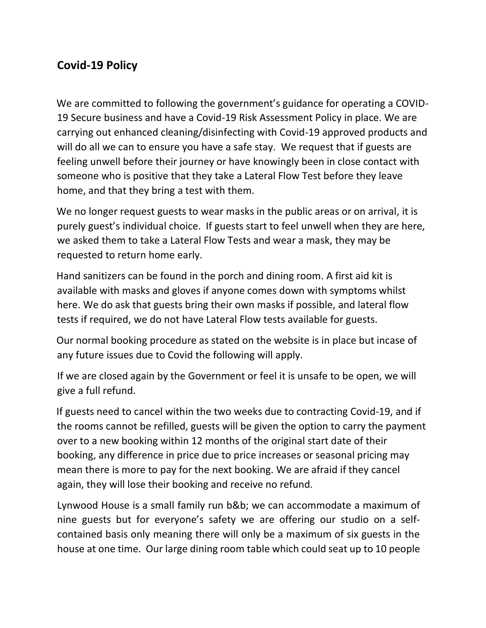## **Covid-19 Policy**

We are committed to following the government's guidance for operating a COVID-19 Secure business and have a Covid-19 Risk Assessment Policy in place. We are carrying out enhanced cleaning/disinfecting with Covid-19 approved products and will do all we can to ensure you have a safe stay. We request that if guests are feeling unwell before their journey or have knowingly been in close contact with someone who is positive that they take a Lateral Flow Test before they leave home, and that they bring a test with them.

We no longer request guests to wear masks in the public areas or on arrival, it is purely guest's individual choice. If guests start to feel unwell when they are here, we asked them to take a Lateral Flow Tests and wear a mask, they may be requested to return home early.

Hand sanitizers can be found in the porch and dining room. A first aid kit is available with masks and gloves if anyone comes down with symptoms whilst here. We do ask that guests bring their own masks if possible, and lateral flow tests if required, we do not have Lateral Flow tests available for guests.

Our normal booking procedure as stated on the website is in place but incase of any future issues due to Covid the following will apply.

If we are closed again by the Government or feel it is unsafe to be open, we will give a full refund.

If guests need to cancel within the two weeks due to contracting Covid-19, and if the rooms cannot be refilled, guests will be given the option to carry the payment over to a new booking within 12 months of the original start date of their booking, any difference in price due to price increases or seasonal pricing may mean there is more to pay for the next booking. We are afraid if they cancel again, they will lose their booking and receive no refund.

Lynwood House is a small family run b&b; we can accommodate a maximum of nine guests but for everyone's safety we are offering our studio on a selfcontained basis only meaning there will only be a maximum of six guests in the house at one time. Our large dining room table which could seat up to 10 people